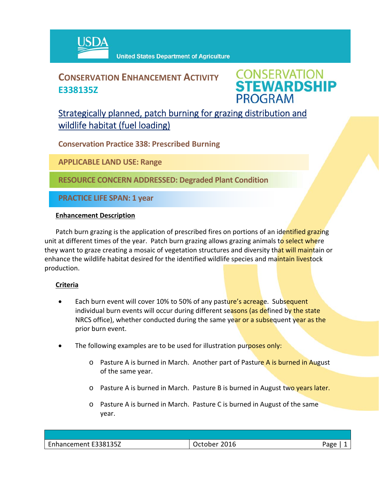

# **CONSERVATION ENHANCEMENT ACTIVITY E338135Z**

**CONSERVATION<br>STEWARDSHIP PROGRAM** 

## Strategically planned, patch burning for grazing distribution and wildlife habitat (fuel loading)

**Conservation Practice 338: Prescribed Burning**

**APPLICABLE LAND USE: Range**

**RESOURCE CONCERN ADDRESSED: Degraded Plant Condition**

**PRACTICE LIFE SPAN: 1 year**

#### **Enhancement Description**

Patch burn grazing is the application of prescribed fires on portions of an identified grazing unit at different times of the year. Patch burn grazing allows grazing animals to select where they want to graze creating a mosaic of vegetation structures and diversity that will maintain or enhance the wildlife habitat desired for the identified wildlife species and maintain livestock production.

### **Criteria**

- Each burn event will cover 10% to 50% of any pasture's acreage. Subsequent individual burn events will occur during different seasons (as defined by the state NRCS office), whether conducted during the same year or a subsequent year as the prior burn event.
- The following examples are to be used for illustration purposes only:
	- $\circ$  Pasture A is burned in March. Another part of Pasture A is burned in August of the same year.
	- $\circ$  Pasture A is burned in March. Pasture B is burned in August two years later.
	- o Pasture A is burned in March. Pasture C is burned in August of the same year.

| E338135Z<br>$\overline{\phantom{0}}$<br>-------<br>emeni<br>·nnanc | ∠U16<br>.<br>ULLUNU. | חסבי<br>ີ |
|--------------------------------------------------------------------|----------------------|-----------|
|                                                                    |                      |           |